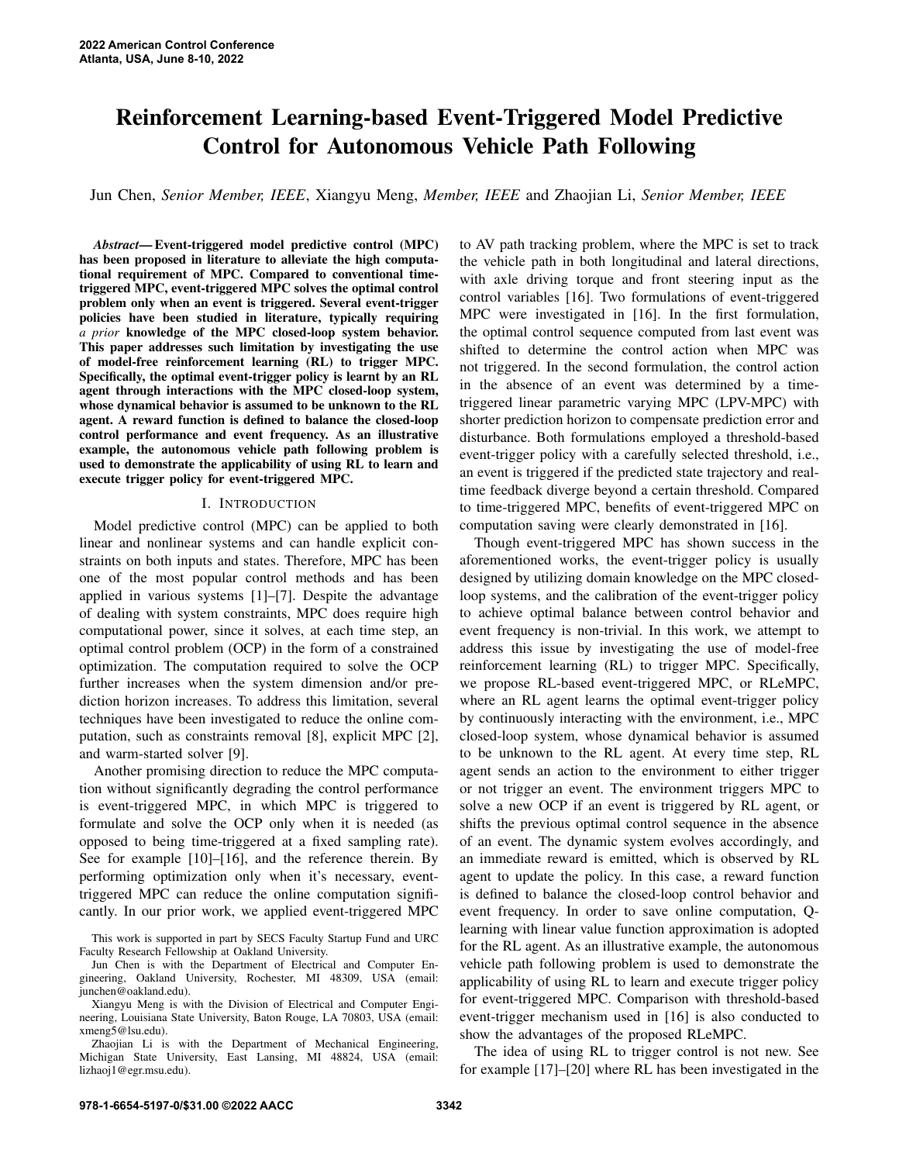# Reinforcement Learning-based Event-Triggered Model Predictive Control for Autonomous Vehicle Path Following

Jun Chen, *Senior Member, IEEE*, Xiangyu Meng, *Member, IEEE* and Zhaojian Li, *Senior Member, IEEE*

*Abstract*— Event-triggered model predictive control (MPC) has been proposed in literature to alleviate the high computational requirement of MPC. Compared to conventional timetriggered MPC, event-triggered MPC solves the optimal control problem only when an event is triggered. Several event-trigger policies have been studied in literature, typically requiring *a prior* knowledge of the MPC closed-loop system behavior. This paper addresses such limitation by investigating the use of model-free reinforcement learning (RL) to trigger MPC. Specifically, the optimal event-trigger policy is learnt by an RL agent through interactions with the MPC closed-loop system, whose dynamical behavior is assumed to be unknown to the RL agent. A reward function is defined to balance the closed-loop control performance and event frequency. As an illustrative example, the autonomous vehicle path following problem is used to demonstrate the applicability of using RL to learn and execute trigger policy for event-triggered MPC.

## I. INTRODUCTION

Model predictive control (MPC) can be applied to both linear and nonlinear systems and can handle explicit constraints on both inputs and states. Therefore, MPC has been one of the most popular control methods and has been applied in various systems [1]–[7]. Despite the advantage of dealing with system constraints, MPC does require high computational power, since it solves, at each time step, an optimal control problem (OCP) in the form of a constrained optimization. The computation required to solve the OCP further increases when the system dimension and/or prediction horizon increases. To address this limitation, several techniques have been investigated to reduce the online computation, such as constraints removal [8], explicit MPC [2], and warm-started solver [9].

Another promising direction to reduce the MPC computation without significantly degrading the control performance is event-triggered MPC, in which MPC is triggered to formulate and solve the OCP only when it is needed (as opposed to being time-triggered at a fixed sampling rate). See for example [10]–[16], and the reference therein. By performing optimization only when it's necessary, eventtriggered MPC can reduce the online computation significantly. In our prior work, we applied event-triggered MPC to AV path tracking problem, where the MPC is set to track the vehicle path in both longitudinal and lateral directions, with axle driving torque and front steering input as the control variables [16]. Two formulations of event-triggered MPC were investigated in [16]. In the first formulation, the optimal control sequence computed from last event was shifted to determine the control action when MPC was not triggered. In the second formulation, the control action in the absence of an event was determined by a timetriggered linear parametric varying MPC (LPV-MPC) with shorter prediction horizon to compensate prediction error and disturbance. Both formulations employed a threshold-based event-trigger policy with a carefully selected threshold, i.e., an event is triggered if the predicted state trajectory and realtime feedback diverge beyond a certain threshold. Compared to time-triggered MPC, benefits of event-triggered MPC on computation saving were clearly demonstrated in [16].

Though event-triggered MPC has shown success in the aforementioned works, the event-trigger policy is usually designed by utilizing domain knowledge on the MPC closedloop systems, and the calibration of the event-trigger policy to achieve optimal balance between control behavior and event frequency is non-trivial. In this work, we attempt to address this issue by investigating the use of model-free reinforcement learning (RL) to trigger MPC. Specifically, we propose RL-based event-triggered MPC, or RLeMPC, where an RL agent learns the optimal event-trigger policy by continuously interacting with the environment, i.e., MPC closed-loop system, whose dynamical behavior is assumed to be unknown to the RL agent. At every time step, RL agent sends an action to the environment to either trigger or not trigger an event. The environment triggers MPC to solve a new OCP if an event is triggered by RL agent, or shifts the previous optimal control sequence in the absence of an event. The dynamic system evolves accordingly, and an immediate reward is emitted, which is observed by RL agent to update the policy. In this case, a reward function is defined to balance the closed-loop control behavior and event frequency. In order to save online computation, Qlearning with linear value function approximation is adopted for the RL agent. As an illustrative example, the autonomous vehicle path following problem is used to demonstrate the applicability of using RL to learn and execute trigger policy for event-triggered MPC. Comparison with threshold-based event-trigger mechanism used in [16] is also conducted to show the advantages of the proposed RLeMPC.

The idea of using RL to trigger control is not new. See for example [17]–[20] where RL has been investigated in the

This work is supported in part by SECS Faculty Startup Fund and URC Faculty Research Fellowship at Oakland University.

Jun Chen is with the Department of Electrical and Computer Engineering, Oakland University, Rochester, MI 48309, USA (email: junchen@oakland.edu).

Xiangyu Meng is with the Division of Electrical and Computer Engineering, Louisiana State University, Baton Rouge, LA 70803, USA (email: xmeng5@lsu.edu).

Zhaojian Li is with the Department of Mechanical Engineering, Michigan State University, East Lansing, MI 48824, USA (email: lizhaoj1@egr.msu.edu).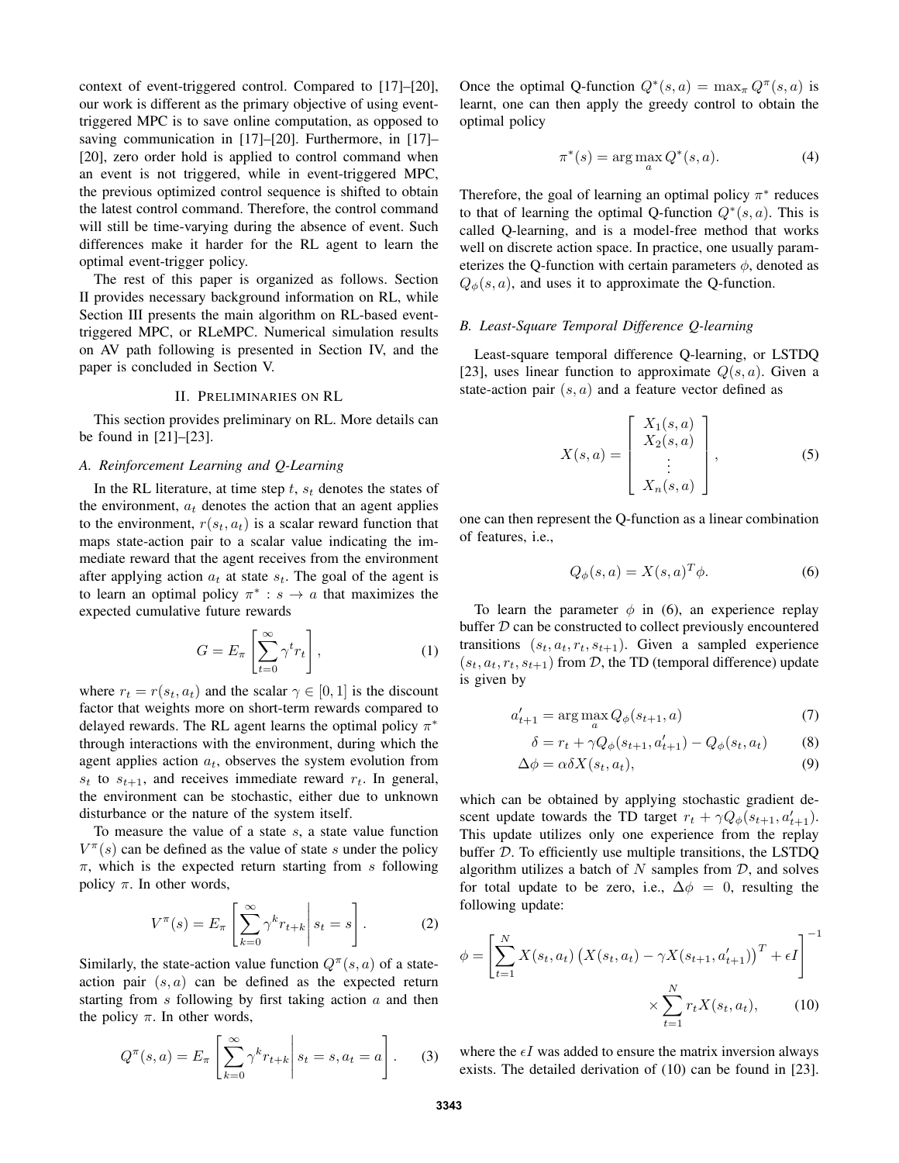context of event-triggered control. Compared to [17]–[20], our work is different as the primary objective of using eventtriggered MPC is to save online computation, as opposed to saving communication in [17]–[20]. Furthermore, in [17]– [20], zero order hold is applied to control command when an event is not triggered, while in event-triggered MPC, the previous optimized control sequence is shifted to obtain the latest control command. Therefore, the control command will still be time-varying during the absence of event. Such differences make it harder for the RL agent to learn the optimal event-trigger policy.

The rest of this paper is organized as follows. Section II provides necessary background information on RL, while Section III presents the main algorithm on RL-based eventtriggered MPC, or RLeMPC. Numerical simulation results on AV path following is presented in Section IV, and the paper is concluded in Section V.

#### II. PRELIMINARIES ON RL

This section provides preliminary on RL. More details can be found in [21]–[23].

## *A. Reinforcement Learning and Q-Learning*

In the RL literature, at time step  $t$ ,  $s_t$  denotes the states of the environment,  $a_t$  denotes the action that an agent applies to the environment,  $r(s_t, a_t)$  is a scalar reward function that maps state-action pair to a scalar value indicating the immediate reward that the agent receives from the environment after applying action  $a_t$  at state  $s_t$ . The goal of the agent is to learn an optimal policy  $\pi^* : s \to a$  that maximizes the expected cumulative future rewards

$$
G = E_{\pi} \left[ \sum_{t=0}^{\infty} \gamma^t r_t \right],
$$
 (1)

where  $r_t = r(s_t, a_t)$  and the scalar  $\gamma \in [0, 1]$  is the discount factor that weights more on short-term rewards compared to delayed rewards. The RL agent learns the optimal policy  $\pi^*$ through interactions with the environment, during which the agent applies action  $a_t$ , observes the system evolution from  $s_t$  to  $s_{t+1}$ , and receives immediate reward  $r_t$ . In general, the environment can be stochastic, either due to unknown disturbance or the nature of the system itself.

To measure the value of a state  $s$ , a state value function  $V^{\pi}(s)$  can be defined as the value of state s under the policy  $\pi$ , which is the expected return starting from s following policy  $\pi$ . In other words,

$$
V^{\pi}(s) = E_{\pi} \left[ \sum_{k=0}^{\infty} \gamma^{k} r_{t+k} \, \middle| \, s_{t} = s \right]. \tag{2}
$$

Similarly, the state-action value function  $Q^{\pi}(s, a)$  of a stateaction pair  $(s, a)$  can be defined as the expected return starting from  $s$  following by first taking action  $a$  and then the policy  $\pi$ . In other words,

$$
Q^{\pi}(s, a) = E_{\pi} \left[ \sum_{k=0}^{\infty} \gamma^k r_{t+k} \middle| s_t = s, a_t = a \right].
$$
 (3)

Once the optimal Q-function  $Q^*(s, a) = \max_{\pi} Q^{\pi}(s, a)$  is learnt, one can then apply the greedy control to obtain the optimal policy

$$
\pi^*(s) = \arg\max_a Q^*(s, a). \tag{4}
$$

Therefore, the goal of learning an optimal policy  $\pi^*$  reduces to that of learning the optimal Q-function  $Q^*(s, a)$ . This is called Q-learning, and is a model-free method that works well on discrete action space. In practice, one usually parameterizes the Q-function with certain parameters  $\phi$ , denoted as  $Q_{\phi}(s, a)$ , and uses it to approximate the Q-function.

# *B. Least-Square Temporal Difference Q-learning*

Least-square temporal difference Q-learning, or LSTDQ [23], uses linear function to approximate  $Q(s, a)$ . Given a state-action pair  $(s, a)$  and a feature vector defined as

$$
X(s,a) = \begin{bmatrix} X_1(s,a) \\ X_2(s,a) \\ \vdots \\ X_n(s,a) \end{bmatrix},
$$
 (5)

one can then represent the Q-function as a linear combination of features, i.e.,

$$
Q_{\phi}(s, a) = X(s, a)^{T} \phi.
$$
 (6)

To learn the parameter  $\phi$  in (6), an experience replay buffer  $D$  can be constructed to collect previously encountered transitions  $(s_t, a_t, r_t, s_{t+1})$ . Given a sampled experience  $(s_t, a_t, r_t, s_{t+1})$  from D, the TD (temporal difference) update is given by

$$
a'_{t+1} = \arg\max_{a} Q_{\phi}(s_{t+1}, a)
$$
\n<sup>(7)</sup>

$$
\delta = r_t + \gamma Q_{\phi}(s_{t+1}, a'_{t+1}) - Q_{\phi}(s_t, a_t)
$$
 (8)

$$
\Delta \phi = \alpha \delta X(s_t, a_t),\tag{9}
$$

which can be obtained by applying stochastic gradient descent update towards the TD target  $r_t + \gamma Q_{\phi}(s_{t+1}, a'_{t+1})$ . This update utilizes only one experience from the replay buffer D. To efficiently use multiple transitions, the LSTDQ algorithm utilizes a batch of  $N$  samples from  $D$ , and solves for total update to be zero, i.e.,  $\Delta \phi = 0$ , resulting the following update:

$$
\phi = \left[ \sum_{t=1}^{N} X(s_t, a_t) \left( X(s_t, a_t) - \gamma X(s_{t+1}, a'_{t+1}) \right)^T + \epsilon I \right]^{-1}
$$

$$
\times \sum_{t=1}^{N} r_t X(s_t, a_t), \qquad (10)
$$

where the  $\epsilon I$  was added to ensure the matrix inversion always exists. The detailed derivation of (10) can be found in [23].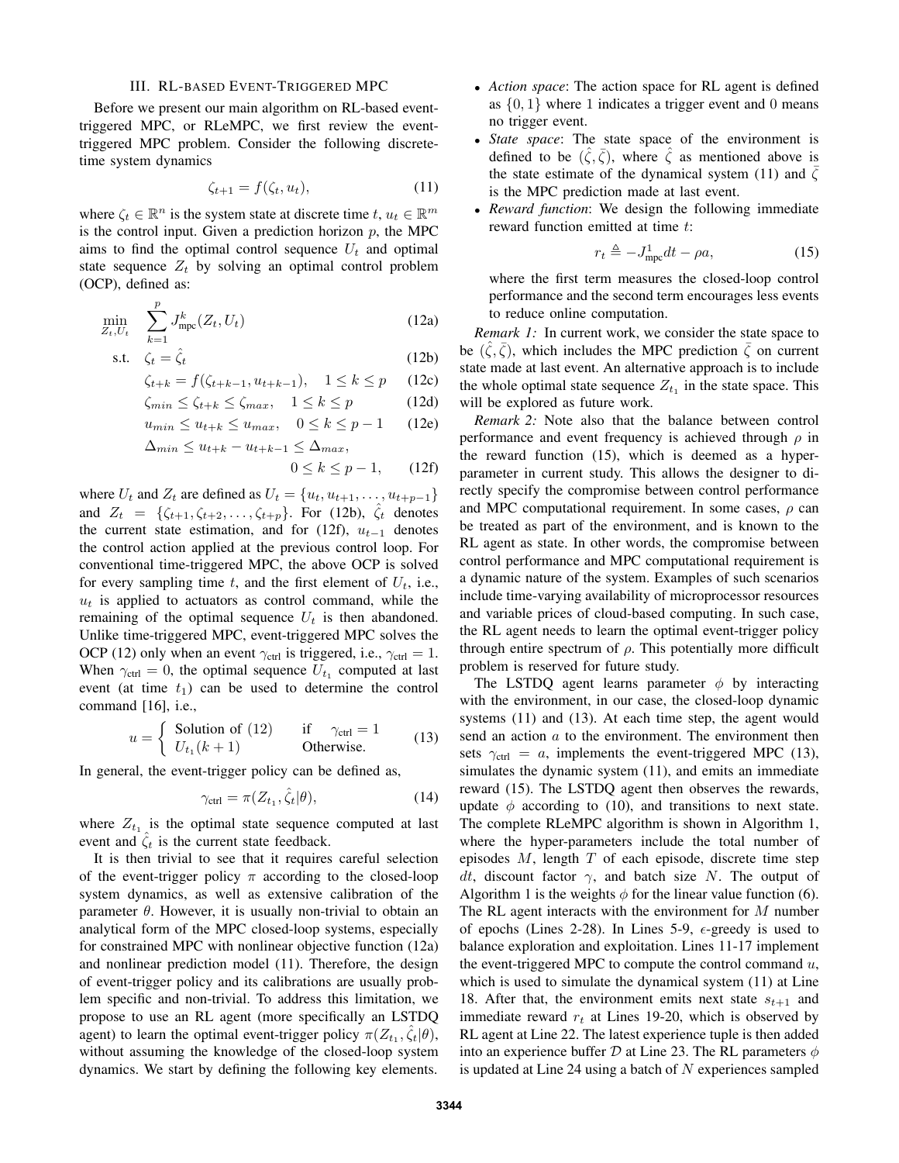## III. RL-BASED EVENT-TRIGGERED MPC

Before we present our main algorithm on RL-based eventtriggered MPC, or RLeMPC, we first review the eventtriggered MPC problem. Consider the following discretetime system dynamics

$$
\zeta_{t+1} = f(\zeta_t, u_t),\tag{11}
$$

where  $\zeta_t \in \mathbb{R}^n$  is the system state at discrete time  $t, u_t \in \mathbb{R}^m$ is the control input. Given a prediction horizon  $p$ , the MPC aims to find the optimal control sequence  $U_t$  and optimal state sequence  $Z_t$  by solving an optimal control problem (OCP), defined as:

$$
\min_{Z_t, U_t} \quad \sum_{k=1}^p J_{\text{mpc}}^k(Z_t, U_t) \tag{12a}
$$

$$
\text{s.t.} \quad \zeta_t = \hat{\zeta}_t \tag{12b}
$$

$$
\zeta_{t+k} = f(\zeta_{t+k-1}, u_{t+k-1}), \quad 1 \le k \le p \qquad (12c)
$$

$$
\zeta_{min} \le \zeta_{t+k} \le \zeta_{max}, \quad 1 \le k \le p \tag{12d}
$$

$$
u_{min} \le u_{t+k} \le u_{max}, \quad 0 \le k \le p-1 \qquad (12e)
$$

$$
\Delta_{min} \le u_{t+k} - u_{t+k-1} \le \Delta_{max},
$$
  

$$
0 \le k \le p - 1,
$$
 (12f)

where  $U_t$  and  $Z_t$  are defined as  $U_t = \{u_t, u_{t+1}, \ldots, u_{t+p-1}\}\$ and  $Z_t = \{ \zeta_{t+1}, \zeta_{t+2}, \ldots, \zeta_{t+p} \}$ . For (12b),  $\zeta_t$  denotes the current state estimation, and for (12f),  $u_{t-1}$  denotes the control action applied at the previous control loop. For conventional time-triggered MPC, the above OCP is solved for every sampling time t, and the first element of  $U_t$ , i.e.,  $u_t$  is applied to actuators as control command, while the remaining of the optimal sequence  $U_t$  is then abandoned. Unlike time-triggered MPC, event-triggered MPC solves the OCP (12) only when an event  $\gamma_{\text{ctrl}}$  is triggered, i.e.,  $\gamma_{\text{ctrl}} = 1$ . When  $\gamma_{\text{ctrl}} = 0$ , the optimal sequence  $U_{t_1}$  computed at last event (at time  $t_1$ ) can be used to determine the control command [16], i.e.,

$$
u = \begin{cases} \text{Solution of (12)} & \text{if } \gamma_{\text{ctrl}} = 1 \\ U_{t_1}(k+1) & \text{Otherwise.} \end{cases} \tag{13}
$$

In general, the event-trigger policy can be defined as,

$$
\gamma_{\text{ctrl}} = \pi(Z_{t_1}, \hat{\zeta}_t | \theta), \tag{14}
$$

where  $Z_{t_1}$  is the optimal state sequence computed at last event and  $\hat{\zeta}_t$  is the current state feedback.

It is then trivial to see that it requires careful selection of the event-trigger policy  $\pi$  according to the closed-loop system dynamics, as well as extensive calibration of the parameter  $\theta$ . However, it is usually non-trivial to obtain an analytical form of the MPC closed-loop systems, especially for constrained MPC with nonlinear objective function (12a) and nonlinear prediction model (11). Therefore, the design of event-trigger policy and its calibrations are usually problem specific and non-trivial. To address this limitation, we propose to use an RL agent (more specifically an LSTDQ agent) to learn the optimal event-trigger policy  $\pi(Z_{t_1}, \hat{\zeta}_t | \theta)$ , without assuming the knowledge of the closed-loop system dynamics. We start by defining the following key elements.

- *Action space*: The action space for RL agent is defined as  $\{0, 1\}$  where 1 indicates a trigger event and 0 means no trigger event.
- *State space*: The state space of the environment is defined to be  $(\hat{\zeta}, \bar{\zeta})$ , where  $\hat{\zeta}$  as mentioned above is the state estimate of the dynamical system (11) and  $\zeta$ is the MPC prediction made at last event.
- *Reward function*: We design the following immediate reward function emitted at time t:

$$
r_t \triangleq -J_{\text{mpc}}^1 dt - \rho a,\tag{15}
$$

where the first term measures the closed-loop control performance and the second term encourages less events to reduce online computation.

*Remark 1:* In current work, we consider the state space to be  $(\hat{\zeta}, \bar{\zeta})$ , which includes the MPC prediction  $\bar{\zeta}$  on current state made at last event. An alternative approach is to include the whole optimal state sequence  $Z_{t_1}$  in the state space. This will be explored as future work.

*Remark 2:* Note also that the balance between control performance and event frequency is achieved through  $\rho$  in the reward function (15), which is deemed as a hyperparameter in current study. This allows the designer to directly specify the compromise between control performance and MPC computational requirement. In some cases,  $\rho$  can be treated as part of the environment, and is known to the RL agent as state. In other words, the compromise between control performance and MPC computational requirement is a dynamic nature of the system. Examples of such scenarios include time-varying availability of microprocessor resources and variable prices of cloud-based computing. In such case, the RL agent needs to learn the optimal event-trigger policy through entire spectrum of  $\rho$ . This potentially more difficult problem is reserved for future study.

The LSTDQ agent learns parameter  $\phi$  by interacting with the environment, in our case, the closed-loop dynamic systems (11) and (13). At each time step, the agent would send an action  $a$  to the environment. The environment then sets  $\gamma_{\text{ctrl}} = a$ , implements the event-triggered MPC (13), simulates the dynamic system (11), and emits an immediate reward (15). The LSTDQ agent then observes the rewards, update  $\phi$  according to (10), and transitions to next state. The complete RLeMPC algorithm is shown in Algorithm 1, where the hyper-parameters include the total number of episodes  $M$ , length  $T$  of each episode, discrete time step dt, discount factor  $\gamma$ , and batch size N. The output of Algorithm 1 is the weights  $\phi$  for the linear value function (6). The RL agent interacts with the environment for  $M$  number of epochs (Lines 2-28). In Lines 5-9,  $\epsilon$ -greedy is used to balance exploration and exploitation. Lines 11-17 implement the event-triggered MPC to compute the control command  $u$ , which is used to simulate the dynamical system (11) at Line 18. After that, the environment emits next state  $s_{t+1}$  and immediate reward  $r_t$  at Lines 19-20, which is observed by RL agent at Line 22. The latest experience tuple is then added into an experience buffer  $D$  at Line 23. The RL parameters  $\phi$ is updated at Line 24 using a batch of  $N$  experiences sampled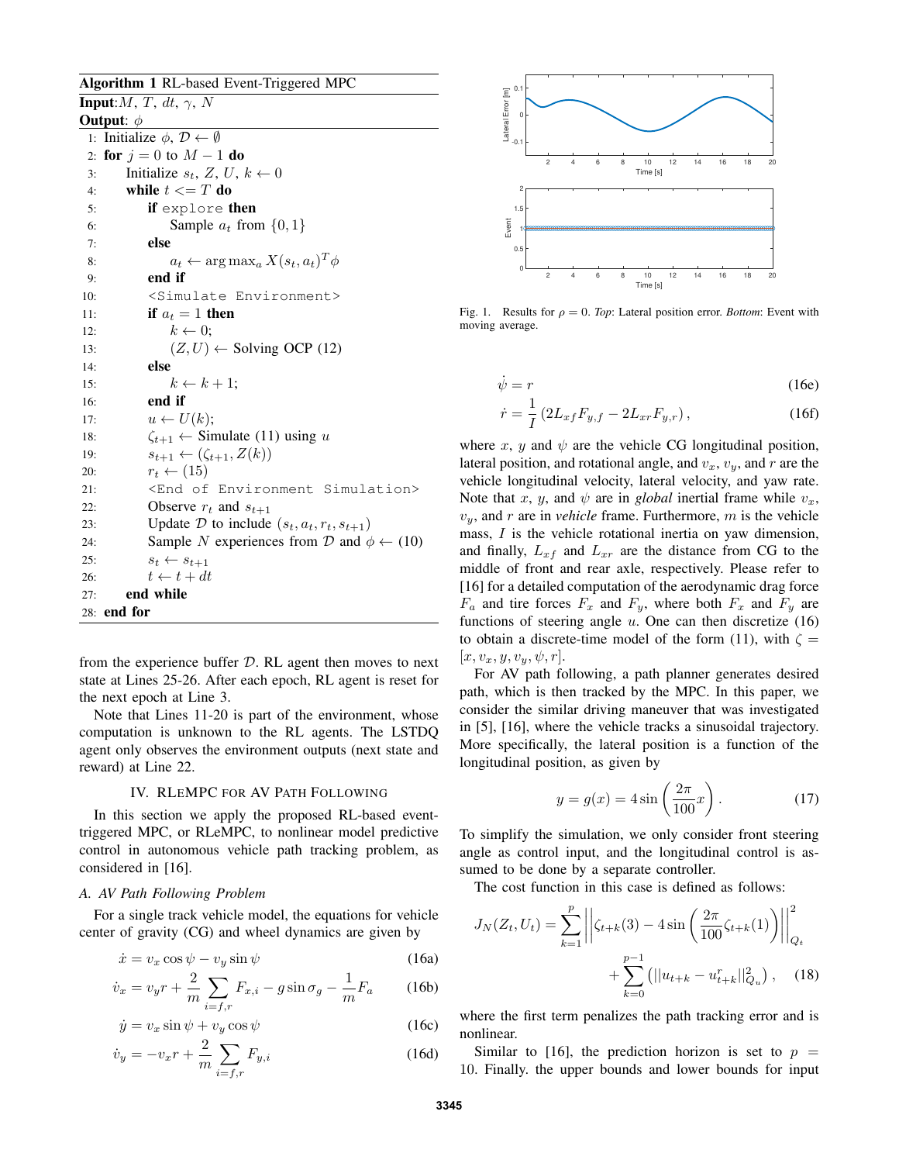Algorithm 1 RL-based Event-Triggered MPC **Input:** $M, T, dt, \gamma, N$ Output:  $\phi$ 1: Initialize  $\phi$ ,  $\mathcal{D} \leftarrow \emptyset$ 2: for  $j = 0$  to  $M - 1$  do 3: Initialize  $s_t$ , Z, U,  $k \leftarrow 0$ 4: while  $t \leq T$  do 5: if explore then 6: Sample  $a_t$  from  $\{0, 1\}$ 7: else 8:  $a_t \leftarrow \arg \max_a X(s_t, a_t)^T \phi$ 9: end if 10: <Simulate Environment> 11: **if**  $a_t = 1$  then 12:  $k \leftarrow 0;$ 13:  $(Z, U) \leftarrow$  Solving OCP (12) 14: else 15:  $k \leftarrow k + 1;$ 16: end if 17:  $u \leftarrow U(k);$ 18:  $\zeta_{t+1} \leftarrow$  Simulate (11) using u 19:  $s_{t+1} \leftarrow (\zeta_{t+1}, Z(k))$ 20:  $r_t \leftarrow (15)$ 21: <End of Environment Simulation> 22: Observe  $r_t$  and  $s_{t+1}$ 23: Update  $D$  to include  $(s_t, a_t, r_t, s_{t+1})$ 24: Sample N experiences from D and  $\phi \leftarrow (10)$ 25:  $s_t \leftarrow s_{t+1}$ 26:  $t \leftarrow t + dt$ 27: end while 28: end for

from the experience buffer  $D$ . RL agent then moves to next state at Lines 25-26. After each epoch, RL agent is reset for the next epoch at Line 3.

Note that Lines 11-20 is part of the environment, whose computation is unknown to the RL agents. The LSTDQ agent only observes the environment outputs (next state and reward) at Line 22.

#### IV. RLEMPC FOR AV PATH FOLLOWING

In this section we apply the proposed RL-based eventtriggered MPC, or RLeMPC, to nonlinear model predictive control in autonomous vehicle path tracking problem, as considered in [16].

## *A. AV Path Following Problem*

For a single track vehicle model, the equations for vehicle center of gravity (CG) and wheel dynamics are given by

$$
\dot{x} = v_x \cos \psi - v_y \sin \psi \tag{16a}
$$

$$
\dot{v}_x = v_y r + \frac{2}{m} \sum_{i=f,r} F_{x,i} - g \sin \sigma_g - \frac{1}{m} F_a \qquad (16b)
$$

$$
\dot{y} = v_x \sin \psi + v_y \cos \psi \tag{16c}
$$

$$
\dot{v}_y = -v_x r + \frac{2}{m} \sum_{i=f,r} F_{y,i} \tag{16d}
$$



Fig. 1. Results for  $\rho = 0$ . *Top*: Lateral position error. *Bottom*: Event with moving average.

$$
\dot{\psi} = r \tag{16e}
$$

$$
\dot{r} = \frac{1}{I} \left( 2L_{xf} F_{y,f} - 2L_{xr} F_{y,r} \right),\tag{16f}
$$

where  $x$ ,  $y$  and  $\psi$  are the vehicle CG longitudinal position, lateral position, and rotational angle, and  $v_x$ ,  $v_y$ , and r are the vehicle longitudinal velocity, lateral velocity, and yaw rate. Note that x, y, and  $\psi$  are in *global* inertial frame while  $v_x$ ,  $v_y$ , and r are in *vehicle* frame. Furthermore, m is the vehicle mass, I is the vehicle rotational inertia on yaw dimension, and finally,  $L_{xf}$  and  $L_{xr}$  are the distance from CG to the middle of front and rear axle, respectively. Please refer to [16] for a detailed computation of the aerodynamic drag force  $F_a$  and tire forces  $F_x$  and  $F_y$ , where both  $F_x$  and  $F_y$  are functions of steering angle  $u$ . One can then discretize  $(16)$ to obtain a discrete-time model of the form (11), with  $\zeta =$  $[x, v_x, y, v_y, \psi, r].$ 

For AV path following, a path planner generates desired path, which is then tracked by the MPC. In this paper, we consider the similar driving maneuver that was investigated in [5], [16], where the vehicle tracks a sinusoidal trajectory. More specifically, the lateral position is a function of the longitudinal position, as given by

$$
y = g(x) = 4\sin\left(\frac{2\pi}{100}x\right). \tag{17}
$$

To simplify the simulation, we only consider front steering angle as control input, and the longitudinal control is assumed to be done by a separate controller.

The cost function in this case is defined as follows:

$$
J_N(Z_t, U_t) = \sum_{k=1}^p \left| \left| \zeta_{t+k}(3) - 4\sin\left(\frac{2\pi}{100}\zeta_{t+k}(1)\right) \right| \right|_{Q_t}^2
$$
  
+ 
$$
\sum_{k=0}^{p-1} \left( ||u_{t+k} - u_{t+k}^r||_{Q_u}^2 \right), \quad (18)
$$

where the first term penalizes the path tracking error and is nonlinear.

Similar to [16], the prediction horizon is set to  $p =$ 10. Finally. the upper bounds and lower bounds for input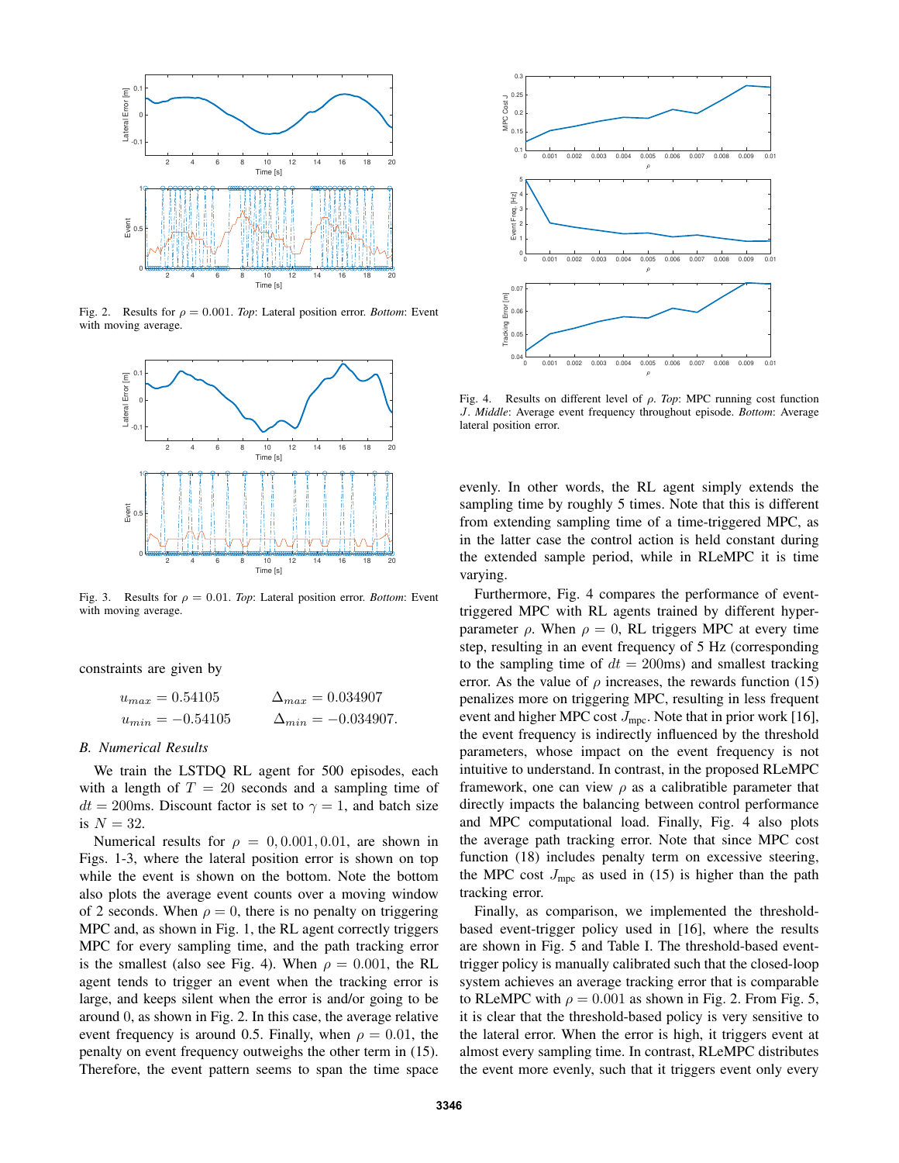

Fig. 2. Results for  $\rho = 0.001$ . *Top*: Lateral position error. *Bottom*: Event with moving average.



Fig. 3. Results for  $\rho = 0.01$ . *Top*: Lateral position error. *Bottom*: Event with moving average.

constraints are given by

 $u_{max} = 0.54105$   $\Delta_{max} = 0.034907$  $u_{min} = -0.54105$   $\Delta_{min} = -0.034907.$ 

#### *B. Numerical Results*

We train the LSTDQ RL agent for 500 episodes, each with a length of  $T = 20$  seconds and a sampling time of  $dt = 200$ ms. Discount factor is set to  $\gamma = 1$ , and batch size is  $N = 32$ .

Numerical results for  $\rho = 0, 0.001, 0.01$ , are shown in Figs. 1-3, where the lateral position error is shown on top while the event is shown on the bottom. Note the bottom also plots the average event counts over a moving window of 2 seconds. When  $\rho = 0$ , there is no penalty on triggering MPC and, as shown in Fig. 1, the RL agent correctly triggers MPC for every sampling time, and the path tracking error is the smallest (also see Fig. 4). When  $\rho = 0.001$ , the RL agent tends to trigger an event when the tracking error is large, and keeps silent when the error is and/or going to be around 0, as shown in Fig. 2. In this case, the average relative event frequency is around 0.5. Finally, when  $\rho = 0.01$ , the penalty on event frequency outweighs the other term in (15). Therefore, the event pattern seems to span the time space



Fig. 4. Results on different level of ρ. *Top*: MPC running cost function J. *Middle*: Average event frequency throughout episode. *Bottom*: Average lateral position error.

evenly. In other words, the RL agent simply extends the sampling time by roughly 5 times. Note that this is different from extending sampling time of a time-triggered MPC, as in the latter case the control action is held constant during the extended sample period, while in RLeMPC it is time varying.

Furthermore, Fig. 4 compares the performance of eventtriggered MPC with RL agents trained by different hyperparameter  $\rho$ . When  $\rho = 0$ , RL triggers MPC at every time step, resulting in an event frequency of 5 Hz (corresponding to the sampling time of  $dt = 200$ ms) and smallest tracking error. As the value of  $\rho$  increases, the rewards function (15) penalizes more on triggering MPC, resulting in less frequent event and higher MPC cost  $J_{\text{mpc}}$ . Note that in prior work [16], the event frequency is indirectly influenced by the threshold parameters, whose impact on the event frequency is not intuitive to understand. In contrast, in the proposed RLeMPC framework, one can view  $\rho$  as a calibratible parameter that directly impacts the balancing between control performance and MPC computational load. Finally, Fig. 4 also plots the average path tracking error. Note that since MPC cost function (18) includes penalty term on excessive steering, the MPC cost  $J_{\text{mpc}}$  as used in (15) is higher than the path tracking error.

Finally, as comparison, we implemented the thresholdbased event-trigger policy used in [16], where the results are shown in Fig. 5 and Table I. The threshold-based eventtrigger policy is manually calibrated such that the closed-loop system achieves an average tracking error that is comparable to RLeMPC with  $\rho = 0.001$  as shown in Fig. 2. From Fig. 5, it is clear that the threshold-based policy is very sensitive to the lateral error. When the error is high, it triggers event at almost every sampling time. In contrast, RLeMPC distributes the event more evenly, such that it triggers event only every